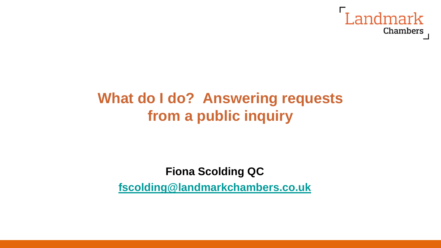

### **What do I do? Answering requests from a public inquiry**

#### **Fiona Scolding QC [fscolding@landmarkchambers.co.uk](mailto:fscolding@landmarkchambers.co.uk)**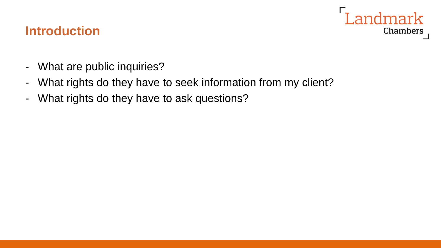#### **Landmark** Chambers

#### **Introduction**

- What are public inquiries?
- What rights do they have to seek information from my client?
- What rights do they have to ask questions?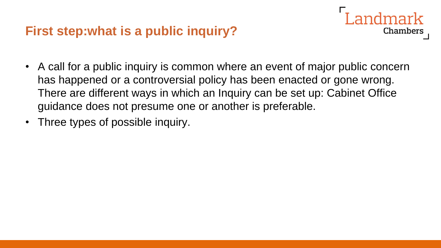#### **First step:what is a public inquiry?**

• A call for a public inquiry is common where an event of major public concern has happened or a controversial policy has been enacted or gone wrong. There are different ways in which an Inquiry can be set up: Cabinet Office guidance does not presume one or another is preferable.

**Chambers** 

• Three types of possible inquiry.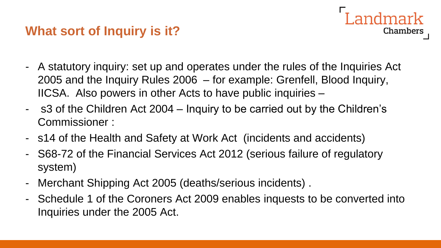#### **What sort of Inquiry is it?**

- A statutory inquiry: set up and operates under the rules of the Inquiries Act 2005 and the Inquiry Rules 2006 – for example: Grenfell, Blood Inquiry, IICSA. Also powers in other Acts to have public inquiries –

dmark

- s3 of the Children Act 2004 Inquiry to be carried out by the Children's Commissioner :
- s14 of the Health and Safety at Work Act (incidents and accidents)
- S68-72 of the Financial Services Act 2012 (serious failure of regulatory system)
- Merchant Shipping Act 2005 (deaths/serious incidents) .
- Schedule 1 of the Coroners Act 2009 enables inquests to be converted into Inquiries under the 2005 Act.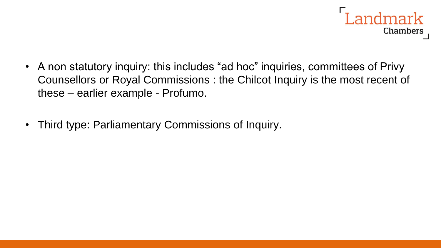

- A non statutory inquiry: this includes "ad hoc" inquiries, committees of Privy Counsellors or Royal Commissions : the Chilcot Inquiry is the most recent of these – earlier example - Profumo.
- Third type: Parliamentary Commissions of Inquiry.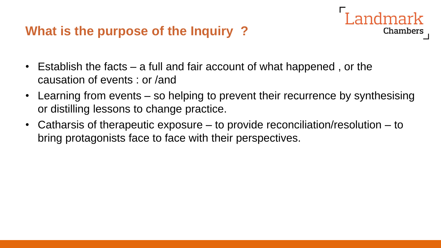#### **What is the purpose of the Inquiry ?**

- Establish the facts a full and fair account of what happened , or the causation of events : or /and
- Learning from events so helping to prevent their recurrence by synthesising or distilling lessons to change practice.

**Chambers** 

• Catharsis of therapeutic exposure – to provide reconciliation/resolution – to bring protagonists face to face with their perspectives.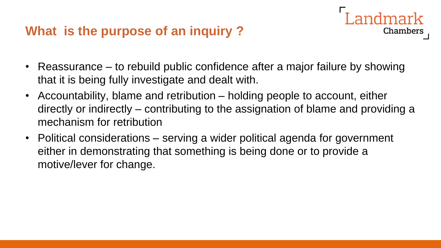#### **What is the purpose of an inquiry ?**

• Reassurance – to rebuild public confidence after a major failure by showing that it is being fully investigate and dealt with.

- Accountability, blame and retribution holding people to account, either directly or indirectly – contributing to the assignation of blame and providing a mechanism for retribution
- Political considerations serving a wider political agenda for government either in demonstrating that something is being done or to provide a motive/lever for change.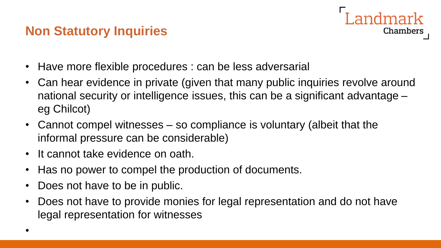#### **Non Statutory Inquiries**



- Have more flexible procedures : can be less adversarial
- Can hear evidence in private (given that many public inquiries revolve around national security or intelligence issues, this can be a significant advantage – eg Chilcot)
- Cannot compel witnesses so compliance is voluntary (albeit that the informal pressure can be considerable)
- It cannot take evidence on oath.
- Has no power to compel the production of documents.
- Does not have to be in public.
- Does not have to provide monies for legal representation and do not have legal representation for witnesses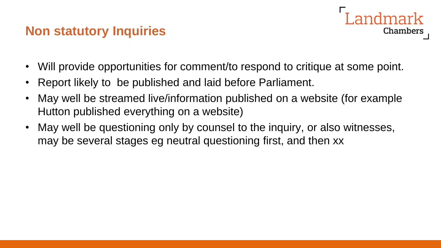#### **Non statutory Inquiries**



- Will provide opportunities for comment/to respond to critique at some point.
- Report likely to be published and laid before Parliament.
- May well be streamed live/information published on a website (for example Hutton published everything on a website)
- May well be questioning only by counsel to the inquiry, or also witnesses, may be several stages eg neutral questioning first, and then xx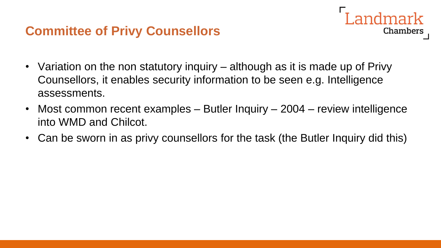#### **Committee of Privy Counsellors**

- **Chambers**
- Variation on the non statutory inquiry although as it is made up of Privy Counsellors, it enables security information to be seen e.g. Intelligence assessments.
- Most common recent examples Butler Inquiry 2004 review intelligence into WMD and Chilcot.
- Can be sworn in as privy counsellors for the task (the Butler Inquiry did this)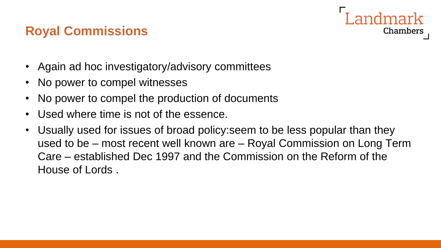#### **Royal Commissions**



- Again ad hoc investigatory/advisory committees
- No power to compel witnesses
- No power to compel the production of documents
- Used where time is not of the essence.
- Usually used for issues of broad policy:seem to be less popular than they used to be – most recent well known are – Royal Commission on Long Term Care – established Dec 1997 and the Commission on the Reform of the House of Lords .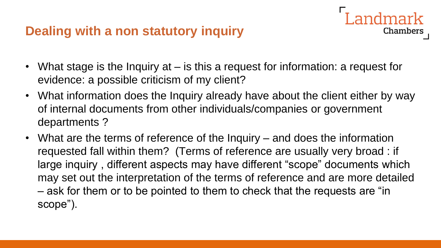#### **Dealing with a non statutory inquiry**

• What stage is the Inquiry at – is this a request for information: a request for evidence: a possible criticism of my client?

ndmark

- What information does the Inquiry already have about the client either by way of internal documents from other individuals/companies or government departments ?
- What are the terms of reference of the Inquiry and does the information requested fall within them? (Terms of reference are usually very broad : if large inquiry , different aspects may have different "scope" documents which may set out the interpretation of the terms of reference and are more detailed – ask for them or to be pointed to them to check that the requests are "in scope").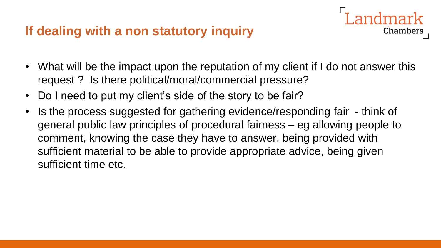#### **If dealing with a non statutory inquiry**

• What will be the impact upon the reputation of my client if I do not answer this request ? Is there political/moral/commercial pressure?

- Do I need to put my client's side of the story to be fair?
- Is the process suggested for gathering evidence/responding fair think of general public law principles of procedural fairness – eg allowing people to comment, knowing the case they have to answer, being provided with sufficient material to be able to provide appropriate advice, being given sufficient time etc.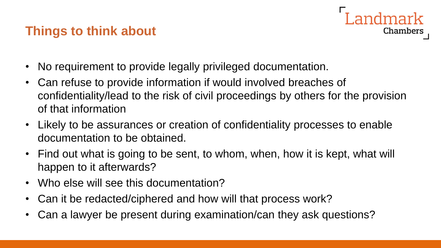#### **Things to think about**



- No requirement to provide legally privileged documentation.
- Can refuse to provide information if would involved breaches of confidentiality/lead to the risk of civil proceedings by others for the provision of that information
- Likely to be assurances or creation of confidentiality processes to enable documentation to be obtained.
- Find out what is going to be sent, to whom, when, how it is kept, what will happen to it afterwards?
- Who else will see this documentation?
- Can it be redacted/ciphered and how will that process work?
- Can a lawyer be present during examination/can they ask questions?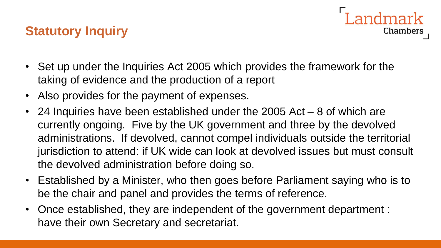#### **Statutory Inquiry**

- Chambers
- Set up under the Inquiries Act 2005 which provides the framework for the taking of evidence and the production of a report
- Also provides for the payment of expenses.
- 24 Inquiries have been established under the 2005 Act 8 of which are currently ongoing. Five by the UK government and three by the devolved administrations. If devolved, cannot compel individuals outside the territorial jurisdiction to attend: if UK wide can look at devolved issues but must consult the devolved administration before doing so.
- Established by a Minister, who then goes before Parliament saying who is to be the chair and panel and provides the terms of reference.
- Once established, they are independent of the government department : have their own Secretary and secretariat.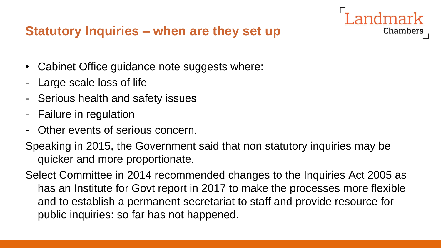#### **Statutory Inquiries – when are they set up**

- Cabinet Office guidance note suggests where:
- Large scale loss of life
- Serious health and safety issues
- Failure in regulation
- Other events of serious concern.
- Speaking in 2015, the Government said that non statutory inquiries may be quicker and more proportionate.

Chambers

Select Committee in 2014 recommended changes to the Inquiries Act 2005 as has an Institute for Govt report in 2017 to make the processes more flexible and to establish a permanent secretariat to staff and provide resource for public inquiries: so far has not happened.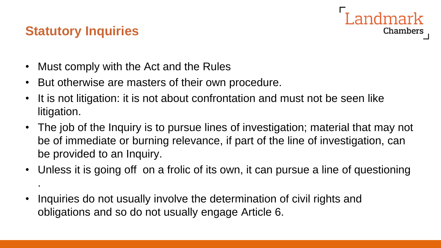# **Chambers**

#### **Statutory Inquiries**

.

- Must comply with the Act and the Rules
- But otherwise are masters of their own procedure.
- It is not litigation: it is not about confrontation and must not be seen like litigation.
- The job of the Inquiry is to pursue lines of investigation; material that may not be of immediate or burning relevance, if part of the line of investigation, can be provided to an Inquiry.
- Unless it is going off on a frolic of its own, it can pursue a line of questioning
- Inquiries do not usually involve the determination of civil rights and obligations and so do not usually engage Article 6.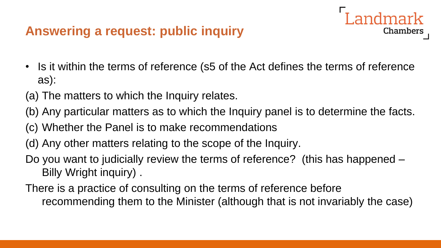#### **Answering a request: public inquiry**

• Is it within the terms of reference (s5 of the Act defines the terms of reference as):

Landmark

- (a) The matters to which the Inquiry relates.
- (b) Any particular matters as to which the Inquiry panel is to determine the facts.
- (c) Whether the Panel is to make recommendations
- (d) Any other matters relating to the scope of the Inquiry.
- Do you want to judicially review the terms of reference? (this has happened Billy Wright inquiry) .
- There is a practice of consulting on the terms of reference before recommending them to the Minister (although that is not invariably the case)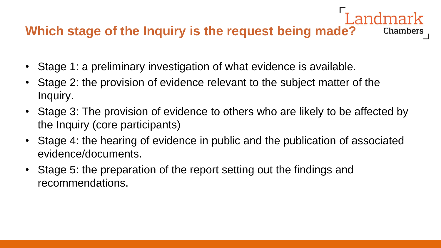#### **Which stage of the Inquiry is the request being made?**  Chambers

- Stage 1: a preliminary investigation of what evidence is available.
- Stage 2: the provision of evidence relevant to the subject matter of the Inquiry.
- Stage 3: The provision of evidence to others who are likely to be affected by the Inquiry (core participants)
- Stage 4: the hearing of evidence in public and the publication of associated evidence/documents.
- Stage 5: the preparation of the report setting out the findings and recommendations.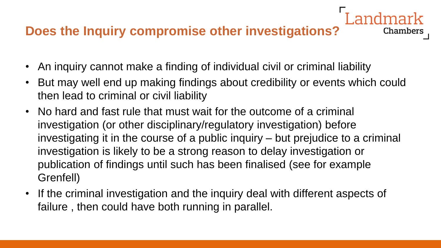#### **Does the Inquiry compromise other investigations?**

- An inquiry cannot make a finding of individual civil or criminal liability
- But may well end up making findings about credibility or events which could then lead to criminal or civil liability

- No hard and fast rule that must wait for the outcome of a criminal investigation (or other disciplinary/regulatory investigation) before investigating it in the course of a public inquiry – but prejudice to a criminal investigation is likely to be a strong reason to delay investigation or publication of findings until such has been finalised (see for example Grenfell)
- If the criminal investigation and the inquiry deal with different aspects of failure , then could have both running in parallel.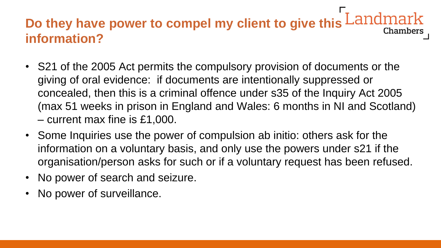## **Do they have power to compel my client to give this information?**

- S21 of the 2005 Act permits the compulsory provision of documents or the giving of oral evidence: if documents are intentionally suppressed or concealed, then this is a criminal offence under s35 of the Inquiry Act 2005 (max 51 weeks in prison in England and Wales: 6 months in NI and Scotland) – current max fine is £1,000.
- Some Inquiries use the power of compulsion ab initio: others ask for the information on a voluntary basis, and only use the powers under s21 if the organisation/person asks for such or if a voluntary request has been refused.
- No power of search and seizure.
- No power of surveillance.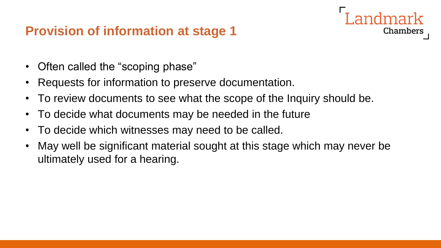#### **Provision of information at stage 1**

- Often called the "scoping phase"
- Requests for information to preserve documentation.
- To review documents to see what the scope of the Inquiry should be.

- To decide what documents may be needed in the future
- To decide which witnesses may need to be called.
- May well be significant material sought at this stage which may never be ultimately used for a hearing.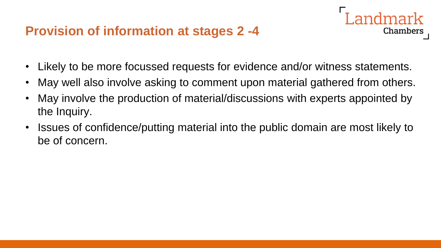#### **Provision of information at stages 2 -4**

• Likely to be more focussed requests for evidence and/or witness statements.

- May well also involve asking to comment upon material gathered from others.
- May involve the production of material/discussions with experts appointed by the Inquiry.
- Issues of confidence/putting material into the public domain are most likely to be of concern.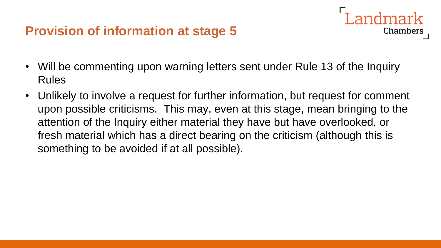#### **Provision of information at stage 5**

• Will be commenting upon warning letters sent under Rule 13 of the Inquiry Rules

Landmark

**Chambers** 

• Unlikely to involve a request for further information, but request for comment upon possible criticisms. This may, even at this stage, mean bringing to the attention of the Inquiry either material they have but have overlooked, or fresh material which has a direct bearing on the criticism (although this is something to be avoided if at all possible).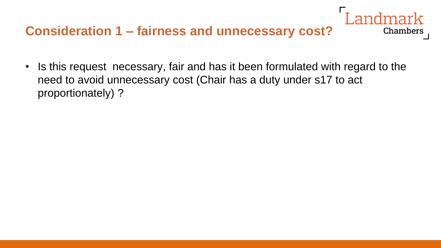#### **Consideration 1 – fairness and unnecessary cost?**

• Is this request necessary, fair and has it been formulated with regard to the need to avoid unnecessary cost (Chair has a duty under s17 to act proportionately) ?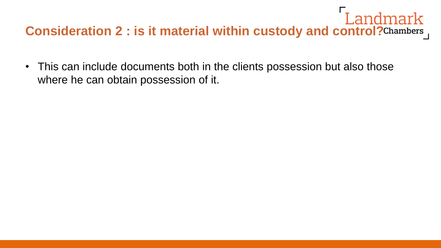# **Consideration 2 : is it material within custody and control?** Consideration 2 : is it material within custody and control? Chambers

• This can include documents both in the clients possession but also those where he can obtain possession of it.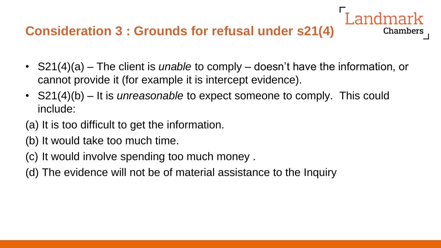#### **Consideration 3 : Grounds for refusal under s21(4)**

• S21(4)(a) – The client is *unable* to comply – doesn't have the information, or cannot provide it (for example it is intercept evidence).

- S21(4)(b) It is *unreasonable* to expect someone to comply. This could include:
- (a) It is too difficult to get the information.
- (b) It would take too much time.
- (c) It would involve spending too much money .
- (d) The evidence will not be of material assistance to the Inquiry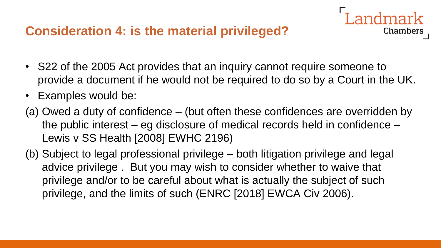#### **Consideration 4: is the material privileged?**

• S22 of the 2005 Act provides that an inquiry cannot require someone to provide a document if he would not be required to do so by a Court in the UK.

- Examples would be:
- (a) Owed a duty of confidence (but often these confidences are overridden by the public interest – eg disclosure of medical records held in confidence – Lewis v SS Health [2008] EWHC 2196)
- (b) Subject to legal professional privilege both litigation privilege and legal advice privilege . But you may wish to consider whether to waive that privilege and/or to be careful about what is actually the subject of such privilege, and the limits of such (ENRC [2018] EWCA Civ 2006).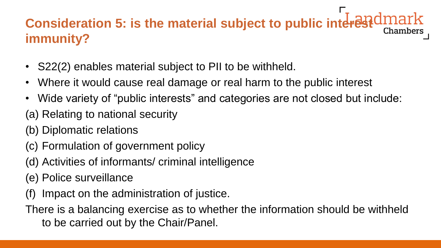## **Consideration 5: is the material subject to public interestdmark immunity?**

- S22(2) enables material subject to PII to be withheld.
- Where it would cause real damage or real harm to the public interest
- Wide variety of "public interests" and categories are not closed but include:
- (a) Relating to national security
- (b) Diplomatic relations
- (c) Formulation of government policy
- (d) Activities of informants/ criminal intelligence
- (e) Police surveillance
- Impact on the administration of justice.
- There is a balancing exercise as to whether the information should be withheld to be carried out by the Chair/Panel.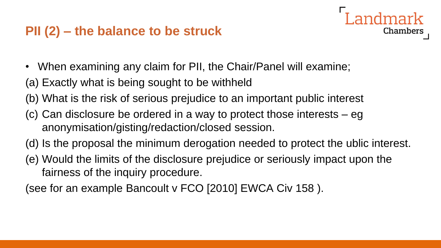#### **PII (2) – the balance to be struck**

- When examining any claim for PII, the Chair/Panel will examine;
- (a) Exactly what is being sought to be withheld
- (b) What is the risk of serious prejudice to an important public interest
- (c) Can disclosure be ordered in a way to protect those interests eg anonymisation/gisting/redaction/closed session.
- (d) Is the proposal the minimum derogation needed to protect the ublic interest.

Chambers

(e) Would the limits of the disclosure prejudice or seriously impact upon the fairness of the inquiry procedure.

(see for an example Bancoult v FCO [2010] EWCA Civ 158 ).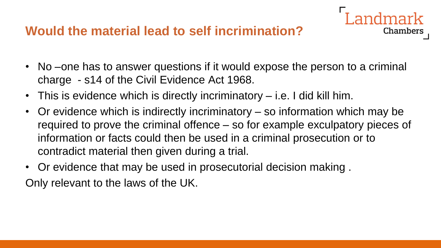#### **Would the material lead to self incrimination?**

• No –one has to answer questions if it would expose the person to a criminal charge - s14 of the Civil Evidence Act 1968.

- This is evidence which is directly incriminatory i.e. I did kill him.
- Or evidence which is indirectly incriminatory so information which may be required to prove the criminal offence – so for example exculpatory pieces of information or facts could then be used in a criminal prosecution or to contradict material then given during a trial.
- Or evidence that may be used in prosecutorial decision making . Only relevant to the laws of the UK.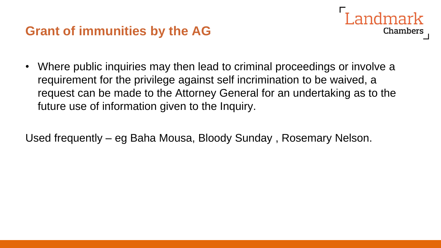#### **Grant of immunities by the AG**



• Where public inquiries may then lead to criminal proceedings or involve a requirement for the privilege against self incrimination to be waived, a request can be made to the Attorney General for an undertaking as to the future use of information given to the Inquiry.

Used frequently – eg Baha Mousa, Bloody Sunday , Rosemary Nelson.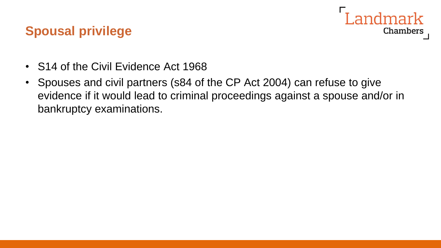#### andmark **Chambers**

#### **Spousal privilege**

- S14 of the Civil Evidence Act 1968
- Spouses and civil partners (s84 of the CP Act 2004) can refuse to give evidence if it would lead to criminal proceedings against a spouse and/or in bankruptcy examinations.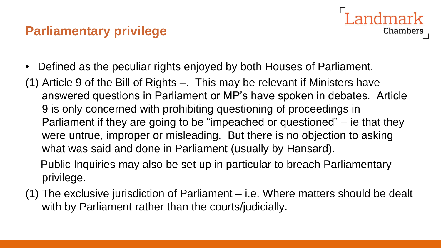#### **Parliamentary privilege**

- I andmark **Chambers**
- Defined as the peculiar rights enjoyed by both Houses of Parliament.
- (1) Article 9 of the Bill of Rights –. This may be relevant if Ministers have answered questions in Parliament or MP's have spoken in debates. Article 9 is only concerned with prohibiting questioning of proceedings in Parliament if they are going to be "impeached or questioned" – ie that they were untrue, improper or misleading. But there is no objection to asking what was said and done in Parliament (usually by Hansard).
	- Public Inquiries may also be set up in particular to breach Parliamentary privilege.
- (1) The exclusive jurisdiction of Parliament i.e. Where matters should be dealt with by Parliament rather than the courts/judicially.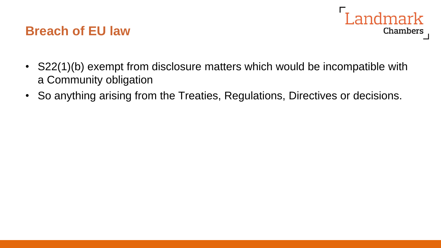#### **Breach of EU law**



- S22(1)(b) exempt from disclosure matters which would be incompatible with a Community obligation
- So anything arising from the Treaties, Regulations, Directives or decisions.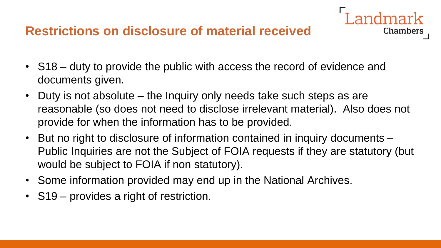#### **Restrictions on disclosure of material received**

- S18 duty to provide the public with access the record of evidence and documents given.
- Duty is not absolute the Inquiry only needs take such steps as are reasonable (so does not need to disclose irrelevant material). Also does not provide for when the information has to be provided.

- But no right to disclosure of information contained in inquiry documents Public Inquiries are not the Subject of FOIA requests if they are statutory (but would be subject to FOIA if non statutory).
- Some information provided may end up in the National Archives.
- S19 provides a right of restriction.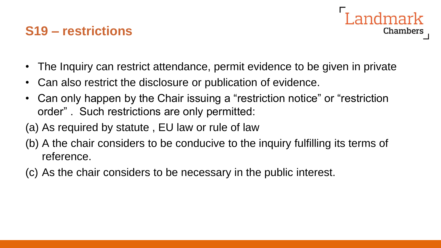#### **S19 – restrictions**



- The Inquiry can restrict attendance, permit evidence to be given in private
- Can also restrict the disclosure or publication of evidence.
- Can only happen by the Chair issuing a "restriction notice" or "restriction order" . Such restrictions are only permitted:
- (a) As required by statute , EU law or rule of law
- (b) A the chair considers to be conducive to the inquiry fulfilling its terms of reference.
- (c) As the chair considers to be necessary in the public interest.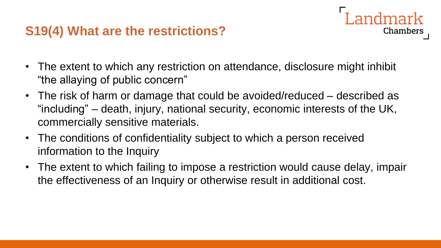#### **S19(4) What are the restrictions?**

• The extent to which any restriction on attendance, disclosure might inhibit "the allaying of public concern"

ndmark

- The risk of harm or damage that could be avoided/reduced described as "including" – death, injury, national security, economic interests of the UK, commercially sensitive materials.
- The conditions of confidentiality subject to which a person received information to the Inquiry
- The extent to which failing to impose a restriction would cause delay, impair the effectiveness of an Inquiry or otherwise result in additional cost.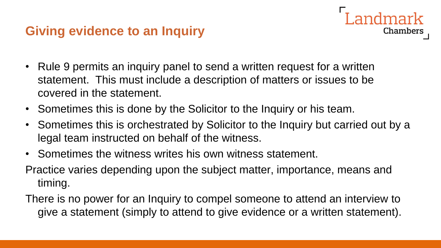#### **Giving evidence to an Inquiry**

- Rule 9 permits an inquiry panel to send a written request for a written statement. This must include a description of matters or issues to be covered in the statement.
- Sometimes this is done by the Solicitor to the Inquiry or his team.
- Sometimes this is orchestrated by Solicitor to the Inquiry but carried out by a legal team instructed on behalf of the witness.

- Sometimes the witness writes his own witness statement.
- Practice varies depending upon the subject matter, importance, means and timing.
- There is no power for an Inquiry to compel someone to attend an interview to give a statement (simply to attend to give evidence or a written statement).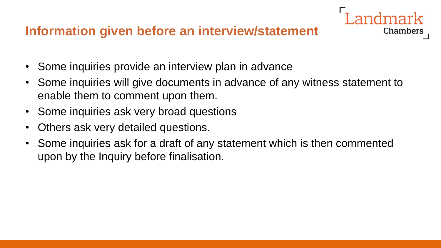#### **Information given before an interview/statement**

- Some inquiries provide an interview plan in advance
- Some inquiries will give documents in advance of any witness statement to enable them to comment upon them.

- Some inquiries ask very broad questions
- Others ask very detailed questions.
- Some inquiries ask for a draft of any statement which is then commented upon by the Inquiry before finalisation.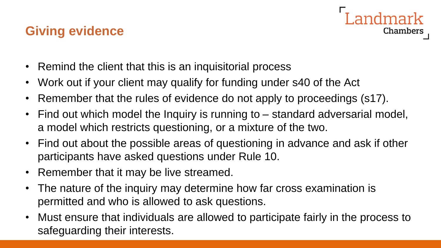#### **Giving evidence**



- Remind the client that this is an inquisitorial process
- Work out if your client may qualify for funding under s40 of the Act
- Remember that the rules of evidence do not apply to proceedings (s17).
- Find out which model the Inquiry is running to standard adversarial model, a model which restricts questioning, or a mixture of the two.
- Find out about the possible areas of questioning in advance and ask if other participants have asked questions under Rule 10.
- Remember that it may be live streamed.
- The nature of the inquiry may determine how far cross examination is permitted and who is allowed to ask questions.
- Must ensure that individuals are allowed to participate fairly in the process to safeguarding their interests.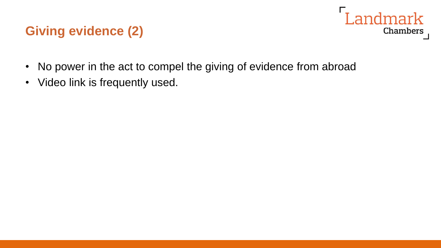#### **Giving evidence (2)**



- No power in the act to compel the giving of evidence from abroad
- Video link is frequently used.